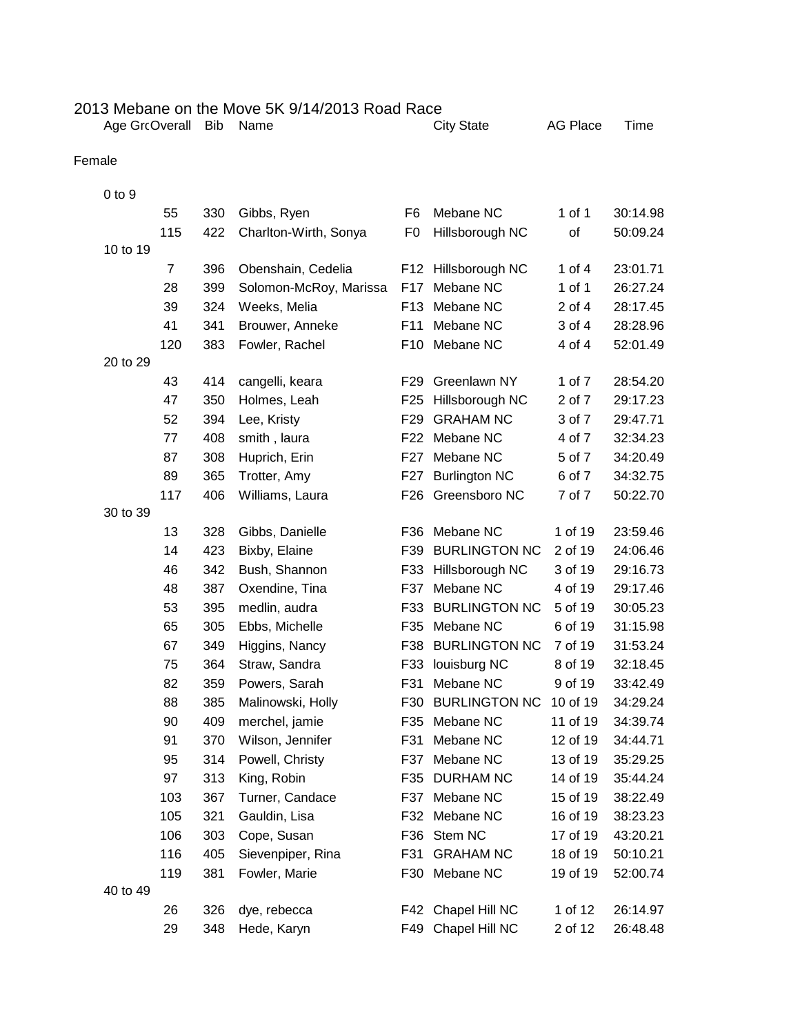|                                                                                                        | 2013 Mebane on the Move 5K 9/14/2013 Road Race |  |
|--------------------------------------------------------------------------------------------------------|------------------------------------------------|--|
| $\mathbf{A}$ . $\mathbf{A}$ . $\mathbf{A}$ . $\mathbf{A}$ . $\mathbf{A}$ . $\mathbf{A}$ . $\mathbf{A}$ |                                                |  |

| Age GrcOverall Bib Name<br><b>City State</b> | AG |
|----------------------------------------------|----|

Place Time

## Female

| $0$ to $9$ |                |     |                        |                 |                      |            |          |
|------------|----------------|-----|------------------------|-----------------|----------------------|------------|----------|
|            | 55             | 330 | Gibbs, Ryen            | F <sub>6</sub>  | Mebane NC            | 1 of 1     | 30:14.98 |
|            | 115            | 422 | Charlton-Wirth, Sonya  | F <sub>0</sub>  | Hillsborough NC      | of         | 50:09.24 |
| 10 to 19   |                |     |                        |                 |                      |            |          |
|            | $\overline{7}$ | 396 | Obenshain, Cedelia     | F12             | Hillsborough NC      | 1 of 4     | 23:01.71 |
|            | 28             | 399 | Solomon-McRoy, Marissa | F17             | Mebane NC            | $1$ of $1$ | 26:27.24 |
|            | 39             | 324 | Weeks, Melia           | F <sub>13</sub> | Mebane NC            | 2 of 4     | 28:17.45 |
|            | 41             | 341 | Brouwer, Anneke        | F11             | Mebane NC            | 3 of 4     | 28:28.96 |
|            | 120            | 383 | Fowler, Rachel         | F <sub>10</sub> | Mebane NC            | 4 of 4     | 52:01.49 |
| 20 to 29   |                |     |                        |                 |                      |            |          |
|            | 43             | 414 | cangelli, keara        | F <sub>29</sub> | Greenlawn NY         | 1 of 7     | 28:54.20 |
|            | 47             | 350 | Holmes, Leah           | F <sub>25</sub> | Hillsborough NC      | 2 of 7     | 29:17.23 |
|            | 52             | 394 | Lee, Kristy            | F <sub>29</sub> | <b>GRAHAM NC</b>     | 3 of 7     | 29:47.71 |
|            | 77             | 408 | smith, laura           | F22             | Mebane NC            | 4 of 7     | 32:34.23 |
|            | 87             | 308 | Huprich, Erin          | F <sub>27</sub> | Mebane NC            | 5 of 7     | 34:20.49 |
|            | 89             | 365 | Trotter, Amy           | F27             | <b>Burlington NC</b> | 6 of 7     | 34:32.75 |
|            | 117            | 406 | Williams, Laura        | F26             | Greensboro NC        | 7 of 7     | 50:22.70 |
| 30 to 39   |                |     |                        |                 |                      |            |          |
|            | 13             | 328 | Gibbs, Danielle        | F36             | Mebane NC            | 1 of 19    | 23:59.46 |
|            | 14             | 423 | Bixby, Elaine          | F39             | <b>BURLINGTON NC</b> | 2 of 19    | 24:06.46 |
|            | 46             | 342 | Bush, Shannon          | F33             | Hillsborough NC      | 3 of 19    | 29:16.73 |
|            | 48             | 387 | Oxendine, Tina         | F37             | Mebane NC            | 4 of 19    | 29:17.46 |
|            | 53             | 395 | medlin, audra          | F33             | <b>BURLINGTON NC</b> | 5 of 19    | 30:05.23 |
|            | 65             | 305 | Ebbs, Michelle         | F35             | Mebane NC            | 6 of 19    | 31:15.98 |
|            | 67             | 349 | Higgins, Nancy         | F38             | <b>BURLINGTON NC</b> | 7 of 19    | 31:53.24 |
|            | 75             | 364 | Straw, Sandra          | F33             | louisburg NC         | 8 of 19    | 32:18.45 |
|            | 82             | 359 | Powers, Sarah          | F31             | Mebane NC            | 9 of 19    | 33:42.49 |
|            | 88             | 385 | Malinowski, Holly      | F30             | <b>BURLINGTON NC</b> | 10 of 19   | 34:29.24 |
|            | 90             | 409 | merchel, jamie         | F35             | Mebane NC            | 11 of 19   | 34:39.74 |
|            | 91             | 370 | Wilson, Jennifer       | F31             | Mebane NC            | 12 of 19   | 34:44.71 |
|            | 95             | 314 | Powell, Christy        | F37             | Mebane NC            | 13 of 19   | 35:29.25 |
|            | 97             | 313 | King, Robin            | F35             | <b>DURHAM NC</b>     | 14 of 19   | 35:44.24 |
|            | 103            | 367 | Turner, Candace        | F37             | Mebane NC            | 15 of 19   | 38:22.49 |
|            | 105            | 321 | Gauldin, Lisa          |                 | F32 Mebane NC        | 16 of 19   | 38:23.23 |
|            | 106            | 303 | Cope, Susan            | F36             | Stem NC              | 17 of 19   | 43:20.21 |
|            | 116            | 405 | Sievenpiper, Rina      | F31             | <b>GRAHAM NC</b>     | 18 of 19   | 50:10.21 |
|            | 119            | 381 | Fowler, Marie          |                 | F30 Mebane NC        | 19 of 19   | 52:00.74 |
| 40 to 49   |                |     |                        |                 |                      |            |          |
|            | 26             | 326 | dye, rebecca           | F42             | Chapel Hill NC       | 1 of 12    | 26:14.97 |
|            | 29             | 348 | Hede, Karyn            | F49             | Chapel Hill NC       | 2 of 12    | 26:48.48 |
|            |                |     |                        |                 |                      |            |          |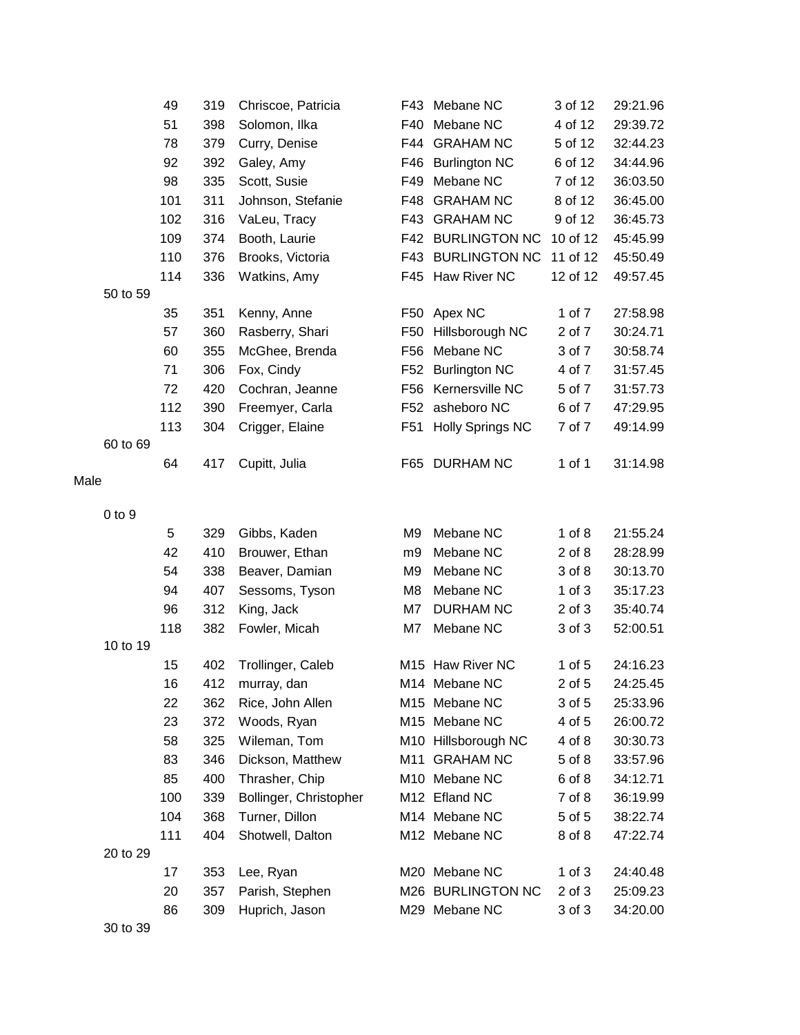|      |            | 49        | 319        | Chriscoe, Patricia     | F43             | Mebane NC                     | 3 of 12          | 29:21.96             |
|------|------------|-----------|------------|------------------------|-----------------|-------------------------------|------------------|----------------------|
|      |            | 51        | 398        | Solomon, Ilka          | F40             | Mebane NC                     | 4 of 12          | 29:39.72             |
|      |            | 78        | 379        | Curry, Denise          | F44             | <b>GRAHAM NC</b>              | 5 of 12          | 32:44.23             |
|      |            | 92        | 392        | Galey, Amy             | F46             | <b>Burlington NC</b>          | 6 of 12          | 34:44.96             |
|      |            | 98        | 335        | Scott, Susie           | F49             | Mebane NC                     | 7 of 12          | 36:03.50             |
|      |            | 101       | 311        | Johnson, Stefanie      | F48             | <b>GRAHAM NC</b>              | 8 of 12          | 36:45.00             |
|      |            | 102       | 316        | VaLeu, Tracy           | F43             | <b>GRAHAM NC</b>              | 9 of 12          | 36:45.73             |
|      |            | 109       | 374        | Booth, Laurie          | F42             | <b>BURLINGTON NC</b>          | 10 of 12         | 45:45.99             |
|      |            | 110       | 376        | Brooks, Victoria       | F43             | <b>BURLINGTON NC</b>          | 11 of 12         | 45:50.49             |
|      |            | 114       | 336        | Watkins, Amy           |                 | F45 Haw River NC              | 12 of 12         | 49:57.45             |
|      | 50 to 59   |           |            |                        |                 |                               |                  |                      |
|      |            | 35        | 351        | Kenny, Anne            |                 | F50 Apex NC                   | 1 of 7           | 27:58.98             |
|      |            | 57        | 360        | Rasberry, Shari        | F50             | Hillsborough NC               | 2 of 7           | 30:24.71             |
|      |            | 60        | 355        | McGhee, Brenda         | F56             | Mebane NC                     | 3 of 7           | 30:58.74             |
|      |            | 71        | 306        | Fox, Cindy             | F <sub>52</sub> | <b>Burlington NC</b>          | 4 of 7           | 31:57.45             |
|      |            | 72        | 420        | Cochran, Jeanne        | F <sub>56</sub> | Kernersville NC               | 5 of 7           | 31:57.73             |
|      |            | 112       | 390        | Freemyer, Carla        | F <sub>52</sub> | asheboro NC                   | 6 of 7           | 47:29.95             |
|      |            | 113       | 304        | Crigger, Elaine        | F51             | <b>Holly Springs NC</b>       | 7 of 7           | 49:14.99             |
|      | 60 to 69   |           |            |                        |                 |                               |                  |                      |
|      |            | 64        | 417        | Cupitt, Julia          | F65             | <b>DURHAM NC</b>              | 1 of 1           | 31:14.98             |
| Male |            |           |            |                        |                 |                               |                  |                      |
|      |            |           |            |                        |                 |                               |                  |                      |
|      | $0$ to $9$ |           |            |                        |                 |                               | $1$ of $8$       |                      |
|      |            | 5         | 329        | Gibbs, Kaden           | M9              | Mebane NC                     |                  | 21:55.24             |
|      |            | 42        | 410        | Brouwer, Ethan         | m9              | Mebane NC                     | $2$ of $8$       | 28:28.99             |
|      |            | 54        | 338        | Beaver, Damian         | M <sub>9</sub>  | Mebane NC                     | 3 of 8           | 30:13.70             |
|      |            | 94        | 407<br>312 | Sessoms, Tyson         | M8              | Mebane NC<br><b>DURHAM NC</b> | $1$ of $3$       | 35:17.23<br>35:40.74 |
|      |            | 96<br>118 | 382        | King, Jack             | M7<br>M7        | Mebane NC                     | 2 of 3<br>3 of 3 | 52:00.51             |
|      | 10 to 19   |           |            | Fowler, Micah          |                 |                               |                  |                      |
|      |            | 15        | 402        | Trollinger, Caleb      |                 | M15 Haw River NC              | $1$ of $5$       | 24:16.23             |
|      |            | 16        | 412        | murray, dan            |                 | M14 Mebane NC                 | $2$ of $5$       | 24:25.45             |
|      |            | 22        | 362        | Rice, John Allen       |                 | M15 Mebane NC                 | 3 of 5           | 25:33.96             |
|      |            | 23        | 372        | Woods, Ryan            |                 | M15 Mebane NC                 | 4 of 5           | 26:00.72             |
|      |            | 58        | 325        | Wileman, Tom           |                 | M10 Hillsborough NC           | 4 of 8           | 30:30.73             |
|      |            | 83        | 346        | Dickson, Matthew       |                 | M11 GRAHAM NC                 | 5 of 8           | 33:57.96             |
|      |            | 85        | 400        | Thrasher, Chip         |                 | M10 Mebane NC                 | 6 of 8           | 34:12.71             |
|      |            | 100       | 339        | Bollinger, Christopher |                 | M12 Efland NC                 | 7 of 8           | 36:19.99             |
|      |            | 104       | 368        | Turner, Dillon         |                 | M14 Mebane NC                 | 5 of 5           | 38:22.74             |
|      |            | 111       | 404        | Shotwell, Dalton       |                 | M12 Mebane NC                 | 8 of 8           | 47:22.74             |
|      | 20 to 29   |           |            |                        |                 |                               |                  |                      |
|      |            | 17        | 353        | Lee, Ryan              |                 | M20 Mebane NC                 | $1$ of $3$       | 24:40.48             |
|      |            | 20        | 357        | Parish, Stephen        |                 | M26 BURLINGTON NC             | 2 of 3           | 25:09.23             |
|      |            | 86        | 309        | Huprich, Jason         |                 | M29 Mebane NC                 | 3 of 3           | 34:20.00             |
|      |            |           |            |                        |                 |                               |                  |                      |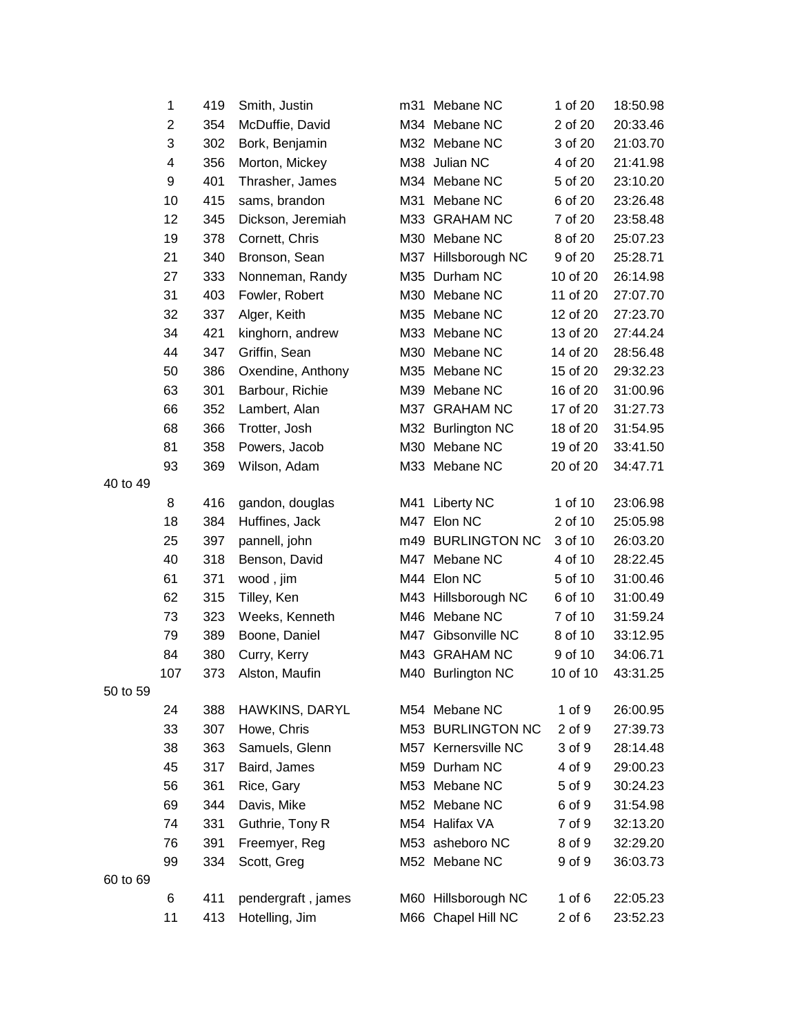|          | 1   | 419 | Smith, Justin      | m31 Mebane NC       | 1 of 20    | 18:50.98 |
|----------|-----|-----|--------------------|---------------------|------------|----------|
|          | 2   | 354 | McDuffie, David    | M34 Mebane NC       | 2 of 20    | 20:33.46 |
|          | 3   | 302 | Bork, Benjamin     | M32 Mebane NC       | 3 of 20    | 21:03.70 |
|          | 4   | 356 | Morton, Mickey     | M38 Julian NC       | 4 of 20    | 21:41.98 |
|          | 9   | 401 | Thrasher, James    | M34 Mebane NC       | 5 of 20    | 23:10.20 |
|          | 10  | 415 | sams, brandon      | M31 Mebane NC       | 6 of 20    | 23:26.48 |
|          | 12  | 345 | Dickson, Jeremiah  | M33 GRAHAM NC       | 7 of 20    | 23:58.48 |
|          | 19  | 378 | Cornett, Chris     | M30 Mebane NC       | 8 of 20    | 25:07.23 |
|          | 21  | 340 | Bronson, Sean      | M37 Hillsborough NC | 9 of 20    | 25:28.71 |
|          | 27  | 333 | Nonneman, Randy    | M35 Durham NC       | 10 of 20   | 26:14.98 |
|          | 31  | 403 | Fowler, Robert     | M30 Mebane NC       | 11 of 20   | 27:07.70 |
|          | 32  | 337 | Alger, Keith       | M35 Mebane NC       | 12 of 20   | 27:23.70 |
|          | 34  | 421 | kinghorn, andrew   | M33 Mebane NC       | 13 of 20   | 27:44.24 |
|          | 44  | 347 | Griffin, Sean      | M30 Mebane NC       | 14 of 20   | 28:56.48 |
|          | 50  | 386 | Oxendine, Anthony  | M35 Mebane NC       | 15 of 20   | 29:32.23 |
|          | 63  | 301 | Barbour, Richie    | M39 Mebane NC       | 16 of 20   | 31:00.96 |
|          | 66  | 352 | Lambert, Alan      | M37 GRAHAM NC       | 17 of 20   | 31:27.73 |
|          | 68  | 366 | Trotter, Josh      | M32 Burlington NC   | 18 of 20   | 31:54.95 |
|          | 81  | 358 | Powers, Jacob      | M30 Mebane NC       | 19 of 20   | 33:41.50 |
|          | 93  | 369 | Wilson, Adam       | M33 Mebane NC       | 20 of 20   | 34:47.71 |
| 40 to 49 |     |     |                    |                     |            |          |
|          | 8   | 416 | gandon, douglas    | M41 Liberty NC      | 1 of 10    | 23:06.98 |
|          | 18  | 384 | Huffines, Jack     | M47 Elon NC         | 2 of 10    | 25:05.98 |
|          | 25  | 397 | pannell, john      | m49 BURLINGTON NC   | 3 of 10    | 26:03.20 |
|          | 40  | 318 | Benson, David      | M47 Mebane NC       | 4 of 10    | 28:22.45 |
|          | 61  | 371 | wood, jim          | M44 Elon NC         | 5 of 10    | 31:00.46 |
|          | 62  | 315 | Tilley, Ken        | M43 Hillsborough NC | 6 of 10    | 31:00.49 |
|          | 73  | 323 | Weeks, Kenneth     | M46 Mebane NC       | 7 of 10    | 31:59.24 |
|          | 79  | 389 | Boone, Daniel      | M47 Gibsonville NC  | 8 of 10    | 33:12.95 |
|          | 84  | 380 | Curry, Kerry       | M43 GRAHAM NC       | 9 of 10    | 34:06.71 |
|          | 107 | 373 | Alston, Maufin     | M40 Burlington NC   | 10 of 10   | 43:31.25 |
| 50 to 59 |     |     |                    |                     |            |          |
|          | 24  | 388 | HAWKINS, DARYL     | M54 Mebane NC       | 1 of 9     | 26:00.95 |
|          | 33  | 307 | Howe, Chris        | M53 BURLINGTON NC   | 2 of 9     | 27:39.73 |
|          | 38  | 363 | Samuels, Glenn     | M57 Kernersville NC | 3 of 9     | 28:14.48 |
|          | 45  | 317 | Baird, James       | M59 Durham NC       | 4 of 9     | 29:00.23 |
|          | 56  | 361 | Rice, Gary         | M53 Mebane NC       | 5 of 9     | 30:24.23 |
|          | 69  | 344 | Davis, Mike        | M52 Mebane NC       | 6 of 9     | 31:54.98 |
|          | 74  | 331 | Guthrie, Tony R    | M54 Halifax VA      | 7 of 9     | 32:13.20 |
|          | 76  | 391 | Freemyer, Reg      | M53 asheboro NC     | 8 of 9     | 32:29.20 |
|          | 99  | 334 | Scott, Greg        | M52 Mebane NC       | 9 of 9     | 36:03.73 |
| 60 to 69 |     |     |                    |                     |            |          |
|          | 6   | 411 | pendergraft, james | M60 Hillsborough NC | 1 of $6$   | 22:05.23 |
|          | 11  | 413 | Hotelling, Jim     | M66 Chapel Hill NC  | $2$ of $6$ | 23:52.23 |